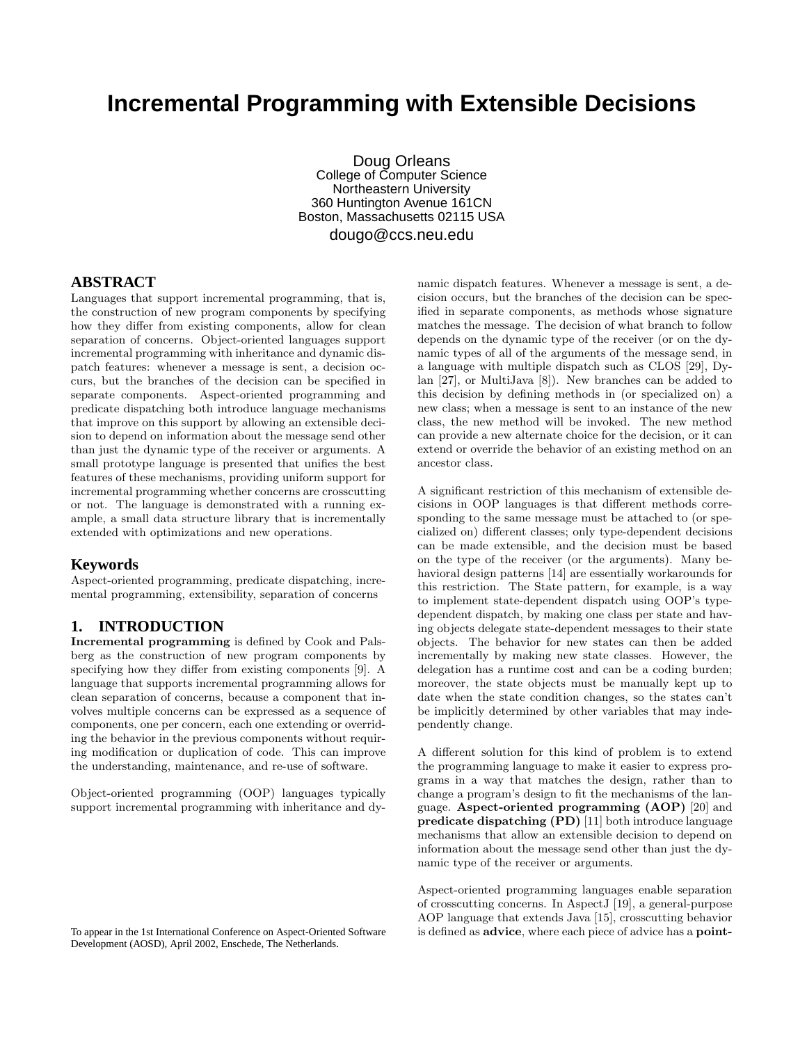# **Incremental Programming with Extensible Decisions**

Doug Orleans College of Computer Science Northeastern University 360 Huntington Avenue 161CN Boston, Massachusetts 02115 USA dougo@ccs.neu.edu

**ABSTRACT**

Languages that support incremental programming, that is, the construction of new program components by specifying how they differ from existing components, allow for clean separation of concerns. Object-oriented languages support incremental programming with inheritance and dynamic dispatch features: whenever a message is sent, a decision occurs, but the branches of the decision can be specified in separate components. Aspect-oriented programming and predicate dispatching both introduce language mechanisms that improve on this support by allowing an extensible decision to depend on information about the message send other than just the dynamic type of the receiver or arguments. A small prototype language is presented that unifies the best features of these mechanisms, providing uniform support for incremental programming whether concerns are crosscutting or not. The language is demonstrated with a running example, a small data structure library that is incrementally extended with optimizations and new operations.

#### **Keywords**

Aspect-oriented programming, predicate dispatching, incremental programming, extensibility, separation of concerns

#### **1. INTRODUCTION**

Incremental programming is defined by Cook and Palsberg as the construction of new program components by specifying how they differ from existing components [9]. A language that supports incremental programming allows for clean separation of concerns, because a component that involves multiple concerns can be expressed as a sequence of components, one per concern, each one extending or overriding the behavior in the previous components without requiring modification or duplication of code. This can improve the understanding, maintenance, and re-use of software.

Object-oriented programming (OOP) languages typically support incremental programming with inheritance and dy-

To appear in the 1st International Conference on Aspect-Oriented Software Development (AOSD), April 2002, Enschede, The Netherlands.

namic dispatch features. Whenever a message is sent, a decision occurs, but the branches of the decision can be specified in separate components, as methods whose signature matches the message. The decision of what branch to follow depends on the dynamic type of the receiver (or on the dynamic types of all of the arguments of the message send, in a language with multiple dispatch such as CLOS [29], Dylan [27], or MultiJava [8]). New branches can be added to this decision by defining methods in (or specialized on) a new class; when a message is sent to an instance of the new class, the new method will be invoked. The new method can provide a new alternate choice for the decision, or it can extend or override the behavior of an existing method on an ancestor class.

A significant restriction of this mechanism of extensible decisions in OOP languages is that different methods corresponding to the same message must be attached to (or specialized on) different classes; only type-dependent decisions can be made extensible, and the decision must be based on the type of the receiver (or the arguments). Many behavioral design patterns [14] are essentially workarounds for this restriction. The State pattern, for example, is a way to implement state-dependent dispatch using OOP's typedependent dispatch, by making one class per state and having objects delegate state-dependent messages to their state objects. The behavior for new states can then be added incrementally by making new state classes. However, the delegation has a runtime cost and can be a coding burden; moreover, the state objects must be manually kept up to date when the state condition changes, so the states can't be implicitly determined by other variables that may independently change.

A different solution for this kind of problem is to extend the programming language to make it easier to express programs in a way that matches the design, rather than to change a program's design to fit the mechanisms of the language. Aspect-oriented programming (AOP) [20] and predicate dispatching (PD) [11] both introduce language mechanisms that allow an extensible decision to depend on information about the message send other than just the dynamic type of the receiver or arguments.

Aspect-oriented programming languages enable separation of crosscutting concerns. In AspectJ [19], a general-purpose AOP language that extends Java [15], crosscutting behavior is defined as advice, where each piece of advice has a point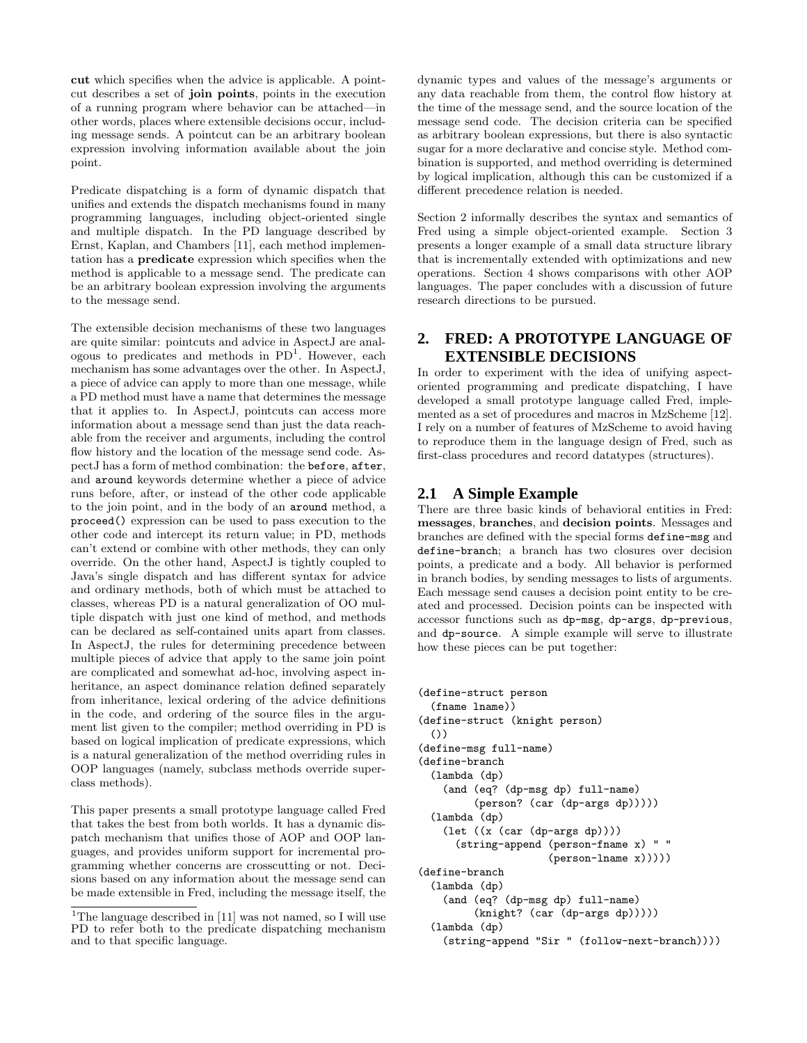cut which specifies when the advice is applicable. A pointcut describes a set of join points, points in the execution of a running program where behavior can be attached—in other words, places where extensible decisions occur, including message sends. A pointcut can be an arbitrary boolean expression involving information available about the join point.

Predicate dispatching is a form of dynamic dispatch that unifies and extends the dispatch mechanisms found in many programming languages, including object-oriented single and multiple dispatch. In the PD language described by Ernst, Kaplan, and Chambers [11], each method implementation has a predicate expression which specifies when the method is applicable to a message send. The predicate can be an arbitrary boolean expression involving the arguments to the message send.

The extensible decision mechanisms of these two languages are quite similar: pointcuts and advice in AspectJ are analogous to predicates and methods in  $PD<sup>1</sup>$ . However, each mechanism has some advantages over the other. In AspectJ, a piece of advice can apply to more than one message, while a PD method must have a name that determines the message that it applies to. In AspectJ, pointcuts can access more information about a message send than just the data reachable from the receiver and arguments, including the control flow history and the location of the message send code. AspectJ has a form of method combination: the before, after, and around keywords determine whether a piece of advice runs before, after, or instead of the other code applicable to the join point, and in the body of an around method, a proceed() expression can be used to pass execution to the other code and intercept its return value; in PD, methods can't extend or combine with other methods, they can only override. On the other hand, AspectJ is tightly coupled to Java's single dispatch and has different syntax for advice and ordinary methods, both of which must be attached to classes, whereas PD is a natural generalization of OO multiple dispatch with just one kind of method, and methods can be declared as self-contained units apart from classes. In AspectJ, the rules for determining precedence between multiple pieces of advice that apply to the same join point are complicated and somewhat ad-hoc, involving aspect inheritance, an aspect dominance relation defined separately from inheritance, lexical ordering of the advice definitions in the code, and ordering of the source files in the argument list given to the compiler; method overriding in PD is based on logical implication of predicate expressions, which is a natural generalization of the method overriding rules in OOP languages (namely, subclass methods override superclass methods).

This paper presents a small prototype language called Fred that takes the best from both worlds. It has a dynamic dispatch mechanism that unifies those of AOP and OOP languages, and provides uniform support for incremental programming whether concerns are crosscutting or not. Decisions based on any information about the message send can be made extensible in Fred, including the message itself, the dynamic types and values of the message's arguments or any data reachable from them, the control flow history at the time of the message send, and the source location of the message send code. The decision criteria can be specified as arbitrary boolean expressions, but there is also syntactic sugar for a more declarative and concise style. Method combination is supported, and method overriding is determined by logical implication, although this can be customized if a different precedence relation is needed.

Section 2 informally describes the syntax and semantics of Fred using a simple object-oriented example. Section 3 presents a longer example of a small data structure library that is incrementally extended with optimizations and new operations. Section 4 shows comparisons with other AOP languages. The paper concludes with a discussion of future research directions to be pursued.

## **2. FRED: A PROTOTYPE LANGUAGE OF EXTENSIBLE DECISIONS**

In order to experiment with the idea of unifying aspectoriented programming and predicate dispatching, I have developed a small prototype language called Fred, implemented as a set of procedures and macros in MzScheme [12]. I rely on a number of features of MzScheme to avoid having to reproduce them in the language design of Fred, such as first-class procedures and record datatypes (structures).

### **2.1 A Simple Example**

There are three basic kinds of behavioral entities in Fred: messages, branches, and decision points. Messages and branches are defined with the special forms define-msg and define-branch; a branch has two closures over decision points, a predicate and a body. All behavior is performed in branch bodies, by sending messages to lists of arguments. Each message send causes a decision point entity to be created and processed. Decision points can be inspected with accessor functions such as dp-msg, dp-args, dp-previous, and dp-source. A simple example will serve to illustrate how these pieces can be put together:

```
(define-struct person
 (fname lname))
(define-struct (knight person)
 ())
(define-msg full-name)
(define-branch
 (lambda (dp)
    (and (eq? (dp-msg dp) full-name)
         (person? (car (dp-args dp)))))
 (lambda (dp)
    (let ((x (car (dp-args dp))))
      (string-append (person-fname x) " "
                     (person-lname x)))))
(define-branch
 (lambda (dp)
    (and (eq? (dp-msg dp) full-name)
         (knight? (car (dp-args dp)))))
 (lambda (dp)
    (string-append "Sir " (follow-next-branch))))
```
<sup>&</sup>lt;sup>1</sup>The language described in [11] was not named, so I will use PD to refer both to the predicate dispatching mechanism and to that specific language.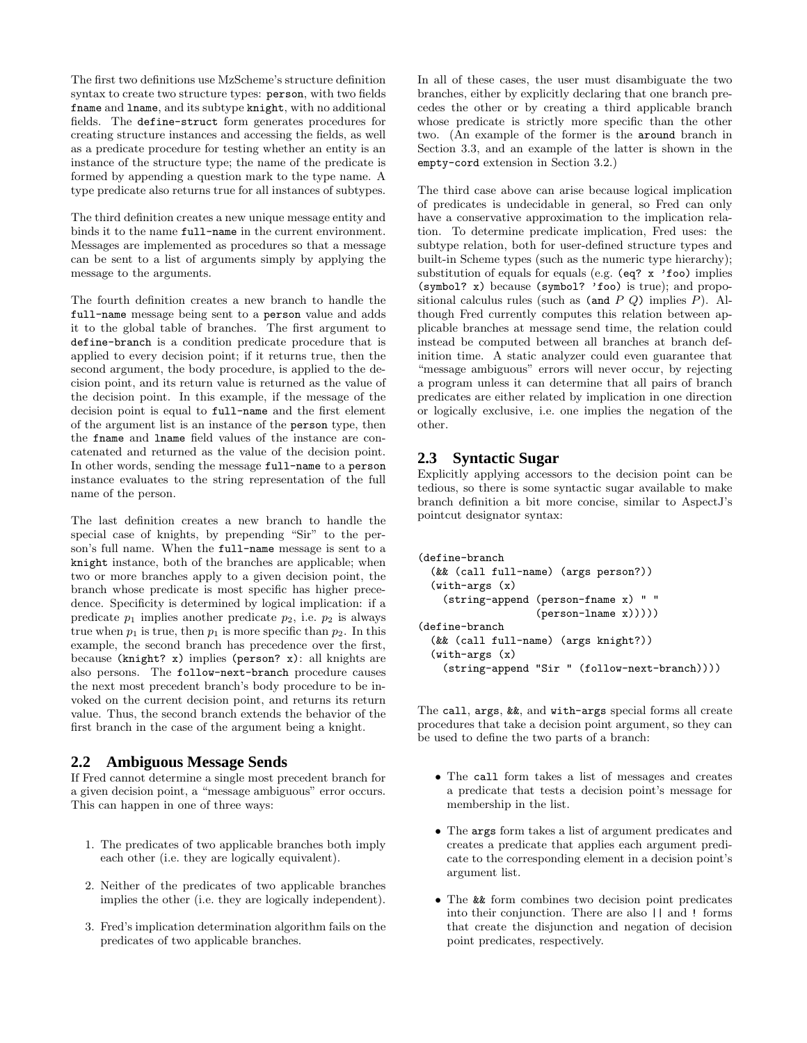The first two definitions use MzScheme's structure definition syntax to create two structure types: person, with two fields fname and lname, and its subtype knight, with no additional fields. The define-struct form generates procedures for creating structure instances and accessing the fields, as well as a predicate procedure for testing whether an entity is an instance of the structure type; the name of the predicate is formed by appending a question mark to the type name. A type predicate also returns true for all instances of subtypes.

The third definition creates a new unique message entity and binds it to the name full-name in the current environment. Messages are implemented as procedures so that a message can be sent to a list of arguments simply by applying the message to the arguments.

The fourth definition creates a new branch to handle the full-name message being sent to a person value and adds it to the global table of branches. The first argument to define-branch is a condition predicate procedure that is applied to every decision point; if it returns true, then the second argument, the body procedure, is applied to the decision point, and its return value is returned as the value of the decision point. In this example, if the message of the decision point is equal to full-name and the first element of the argument list is an instance of the person type, then the fname and lname field values of the instance are concatenated and returned as the value of the decision point. In other words, sending the message full-name to a person instance evaluates to the string representation of the full name of the person.

The last definition creates a new branch to handle the special case of knights, by prepending "Sir" to the person's full name. When the full-name message is sent to a knight instance, both of the branches are applicable; when two or more branches apply to a given decision point, the branch whose predicate is most specific has higher precedence. Specificity is determined by logical implication: if a predicate  $p_1$  implies another predicate  $p_2$ , i.e.  $p_2$  is always true when  $p_1$  is true, then  $p_1$  is more specific than  $p_2$ . In this example, the second branch has precedence over the first, because (knight? x) implies (person? x): all knights are also persons. The follow-next-branch procedure causes the next most precedent branch's body procedure to be invoked on the current decision point, and returns its return value. Thus, the second branch extends the behavior of the first branch in the case of the argument being a knight.

#### **2.2 Ambiguous Message Sends**

If Fred cannot determine a single most precedent branch for a given decision point, a "message ambiguous" error occurs. This can happen in one of three ways:

- 1. The predicates of two applicable branches both imply each other (i.e. they are logically equivalent).
- 2. Neither of the predicates of two applicable branches implies the other (i.e. they are logically independent).
- 3. Fred's implication determination algorithm fails on the predicates of two applicable branches.

In all of these cases, the user must disambiguate the two branches, either by explicitly declaring that one branch precedes the other or by creating a third applicable branch whose predicate is strictly more specific than the other two. (An example of the former is the around branch in Section 3.3, and an example of the latter is shown in the empty-cord extension in Section 3.2.)

The third case above can arise because logical implication of predicates is undecidable in general, so Fred can only have a conservative approximation to the implication relation. To determine predicate implication, Fred uses: the subtype relation, both for user-defined structure types and built-in Scheme types (such as the numeric type hierarchy); substitution of equals for equals (e.g. (eq? x 'foo) implies (symbol? x) because (symbol? 'foo) is true); and propositional calculus rules (such as  $(and P Q)$  implies  $P$ ). Although Fred currently computes this relation between applicable branches at message send time, the relation could instead be computed between all branches at branch definition time. A static analyzer could even guarantee that "message ambiguous" errors will never occur, by rejecting a program unless it can determine that all pairs of branch predicates are either related by implication in one direction or logically exclusive, i.e. one implies the negation of the other.

## **2.3 Syntactic Sugar**

Explicitly applying accessors to the decision point can be tedious, so there is some syntactic sugar available to make branch definition a bit more concise, similar to AspectJ's pointcut designator syntax:

```
(define-branch
 (&& (call full-name) (args person?))
 (with-args (x)
    (string-append (person-fname x) " "
                   (person-Iname x))))(define-branch
 (&& (call full-name) (args knight?))
 (with-args (x)
    (string-append "Sir " (follow-next-branch))))
```
The call, args, &&, and with-args special forms all create procedures that take a decision point argument, so they can be used to define the two parts of a branch:

- The call form takes a list of messages and creates a predicate that tests a decision point's message for membership in the list.
- The args form takes a list of argument predicates and creates a predicate that applies each argument predicate to the corresponding element in a decision point's argument list.
- The && form combines two decision point predicates into their conjunction. There are also || and ! forms that create the disjunction and negation of decision point predicates, respectively.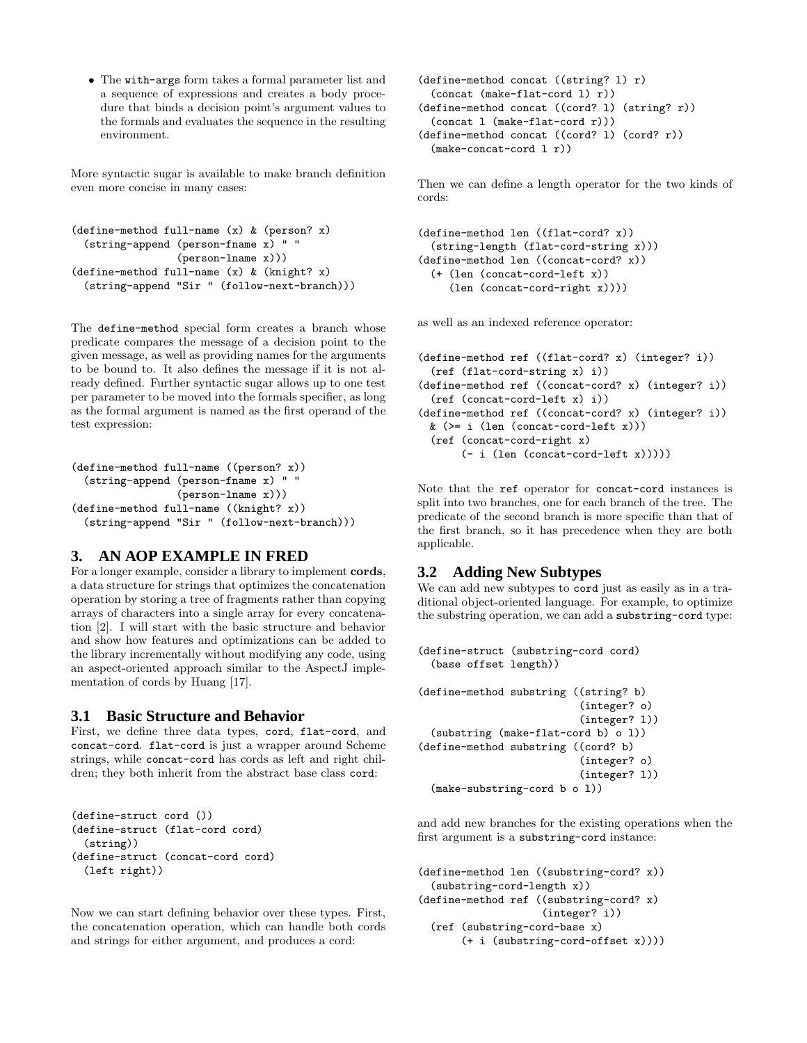• The with-args form takes a formal parameter list and a sequence of expressions and creates a body procedure that binds a decision point's argument values to the formals and evaluates the sequence in the resulting environment.

More syntactic sugar is available to make branch definition even more concise in many cases:

```
(define-method full-name (x) & (person? x)
 (string-append (person-fname x) " "
                 (person-lname x)))
(define-method full-name (x) & (knight? x)
 (string-append "Sir " (follow-next-branch)))
```
The define-method special form creates a branch whose predicate compares the message of a decision point to the given message, as well as providing names for the arguments to be bound to. It also defines the message if it is not already defined. Further syntactic sugar allows up to one test per parameter to be moved into the formals specifier, as long as the formal argument is named as the first operand of the test expression:

```
(define-method full-name ((person? x))
 (string-append (person-fname x) " "
                 (person-lname x)))
(define-method full-name ((knight? x))
 (string-append "Sir " (follow-next-branch)))
```
#### **3. AN AOP EXAMPLE IN FRED**

For a longer example, consider a library to implement cords, a data structure for strings that optimizes the concatenation operation by storing a tree of fragments rather than copying arrays of characters into a single array for every concatenation [2]. I will start with the basic structure and behavior and show how features and optimizations can be added to the library incrementally without modifying any code, using an aspect-oriented approach similar to the AspectJ implementation of cords by Huang [17].

#### **3.1 Basic Structure and Behavior**

First, we define three data types, cord, flat-cord, and concat-cord. flat-cord is just a wrapper around Scheme strings, while concat-cord has cords as left and right children; they both inherit from the abstract base class cord:

```
(define-struct cord ())
(define-struct (flat-cord cord)
 (string))
(define-struct (concat-cord cord)
 (left right))
```
Now we can start defining behavior over these types. First, the concatenation operation, which can handle both cords and strings for either argument, and produces a cord:

```
(define-method concat ((string? l) r)
 (concat (make-flat-cord l) r))
(define-method concat ((cord? l) (string? r))
 (concat l (make-flat-cord r)))
(define-method concat ((cord? l) (cord? r))
 (make-concat-cord l r))
```
Then we can define a length operator for the two kinds of cords:

```
(define-method len ((flat-cord? x))
 (string-length (flat-cord-string x)))
(define-method len ((concat-cord? x))
 (+ (len (concat-cord-left x))
     (len (concat-cord-right x))))
```
as well as an indexed reference operator:

```
(define-method ref ((flat-cord? x) (integer? i))
 (ref (flat-cord-string x) i))
(define-method ref ((concat-cord? x) (integer? i))
 (ref (concat-cord-left x) i))
(define-method ref ((concat-cord? x) (integer? i))
 & (>= i (len (concat-cord-left x)))
 (ref (concat-cord-right x)
       (- i (len (concat-cord-left x)))))
```
Note that the ref operator for concat-cord instances is split into two branches, one for each branch of the tree. The predicate of the second branch is more specific than that of the first branch, so it has precedence when they are both applicable.

#### **3.2 Adding New Subtypes**

We can add new subtypes to cord just as easily as in a traditional object-oriented language. For example, to optimize the substring operation, we can add a substring-cord type:

```
(define-struct (substring-cord cord)
 (base offset length))
(define-method substring ((string? b)
                          (integer? o)
                          (integer? l))
 (substring (make-flat-cord b) o l))
(define-method substring ((cord? b)
                           (integer? o)
                          (integer? l))
 (make-substring-cord b o l))
```
and add new branches for the existing operations when the first argument is a substring-cord instance:

```
(define-method len ((substring-cord? x))
 (substring-cord-length x))
(define-method ref ((substring-cord? x)
                    (integer? i))
 (ref (substring-cord-base x)
       (+ i (substring-cord-offset x))))
```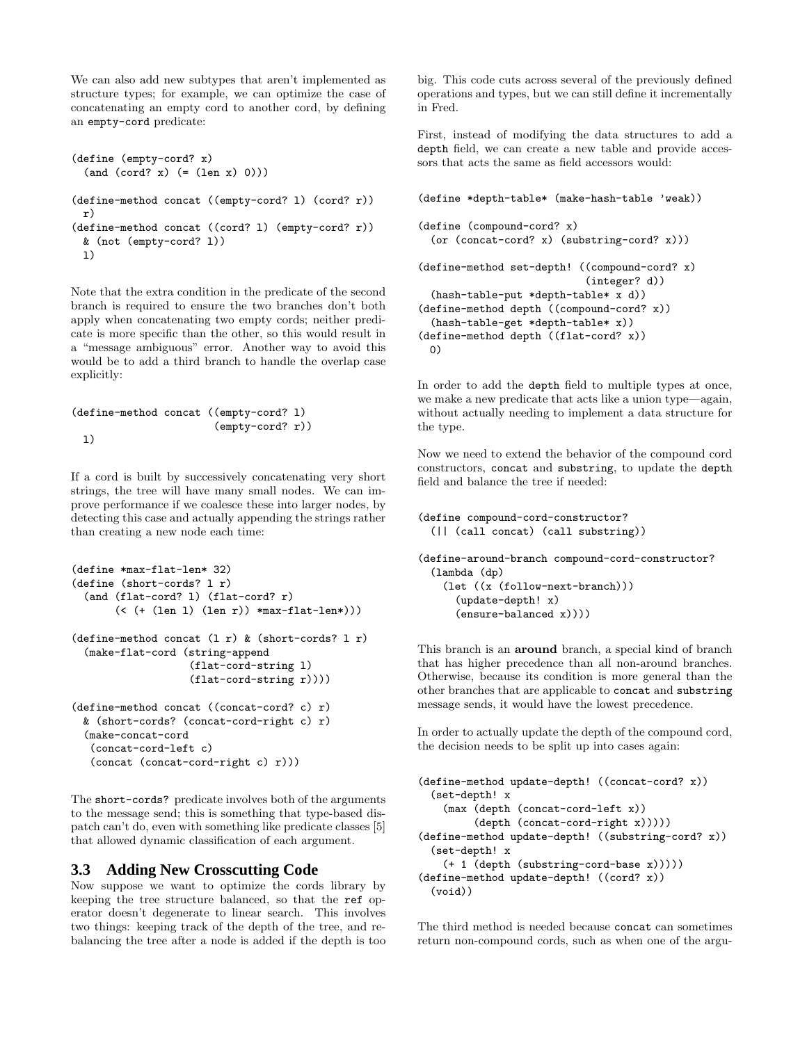We can also add new subtypes that aren't implemented as structure types; for example, we can optimize the case of concatenating an empty cord to another cord, by defining an empty-cord predicate:

```
(define (empty-cord? x)
 (and (cord? x) (= (len x) 0)))(define-method concat ((empty-cord? l) (cord? r))
 r)
(define-method concat ((cord? l) (empty-cord? r))
 & (not (empty-cord? l))
 \overline{1})
```
Note that the extra condition in the predicate of the second branch is required to ensure the two branches don't both apply when concatenating two empty cords; neither predicate is more specific than the other, so this would result in a "message ambiguous" error. Another way to avoid this would be to add a third branch to handle the overlap case explicitly:

```
(define-method concat ((empty-cord? l)
                            (empty-cord? r))
 \overline{1})
```
If a cord is built by successively concatenating very short strings, the tree will have many small nodes. We can improve performance if we coalesce these into larger nodes, by detecting this case and actually appending the strings rather than creating a new node each time:

```
(define *max-flat-len* 32)
(define (short-cords? l r)
 (and (flat-cord? l) (flat-cord? r)
       (< (+ (\text{len 1}) (\text{len r}) *\text{max-flat-len*}))
(define-method concat (1 r) & (short-cords? 1 r)
 (make-flat-cord (string-append
                    (flat-cord-string l)
                    (flat-cord-string r))))
(define-method concat ((concat-cord? c) r)
 & (short-cords? (concat-cord-right c) r)
 (make-concat-cord
  (concat-cord-left c)
   (concat (concat-cord-right c) r)))
```
The short-cords? predicate involves both of the arguments to the message send; this is something that type-based dispatch can't do, even with something like predicate classes [5] that allowed dynamic classification of each argument.

#### **3.3 Adding New Crosscutting Code**

Now suppose we want to optimize the cords library by keeping the tree structure balanced, so that the ref operator doesn't degenerate to linear search. This involves two things: keeping track of the depth of the tree, and rebalancing the tree after a node is added if the depth is too big. This code cuts across several of the previously defined operations and types, but we can still define it incrementally in Fred.

First, instead of modifying the data structures to add a depth field, we can create a new table and provide accessors that acts the same as field accessors would:

```
(define *depth-table* (make-hash-table 'weak))
(define (compound-cord? x)
 (or (concat-cord? x) (substring-cord? x)))
(define-method set-depth! ((compound-cord? x)
                           (integer? d))
 (hash-table-put *depth-table* x d))
(define-method depth ((compound-cord? x))
 (hash-table-get *depth-table* x))
(define-method depth ((flat-cord? x))
 0)
```
In order to add the depth field to multiple types at once, we make a new predicate that acts like a union type—again, without actually needing to implement a data structure for the type.

Now we need to extend the behavior of the compound cord constructors, concat and substring, to update the depth field and balance the tree if needed:

```
(define compound-cord-constructor?
 (|| (call concat) (call substring))
```
(define-around-branch compound-cord-constructor? (lambda (dp) (let ((x (follow-next-branch))) (update-depth! x) (ensure-balanced x))))

This branch is an around branch, a special kind of branch that has higher precedence than all non-around branches. Otherwise, because its condition is more general than the other branches that are applicable to concat and substring message sends, it would have the lowest precedence.

In order to actually update the depth of the compound cord, the decision needs to be split up into cases again:

```
(define-method update-depth! ((concat-cord? x))
 (set-depth! x
    (max (depth (concat-cord-left x))
         (depth (concat-cord-right x)))))
(define-method update-depth! ((substring-cord? x))
 (set-depth! x
    (+ 1 (depth (substring-cord-base x)))))
(define-method update-depth! ((cord? x))
 (void))
```
The third method is needed because concat can sometimes return non-compound cords, such as when one of the argu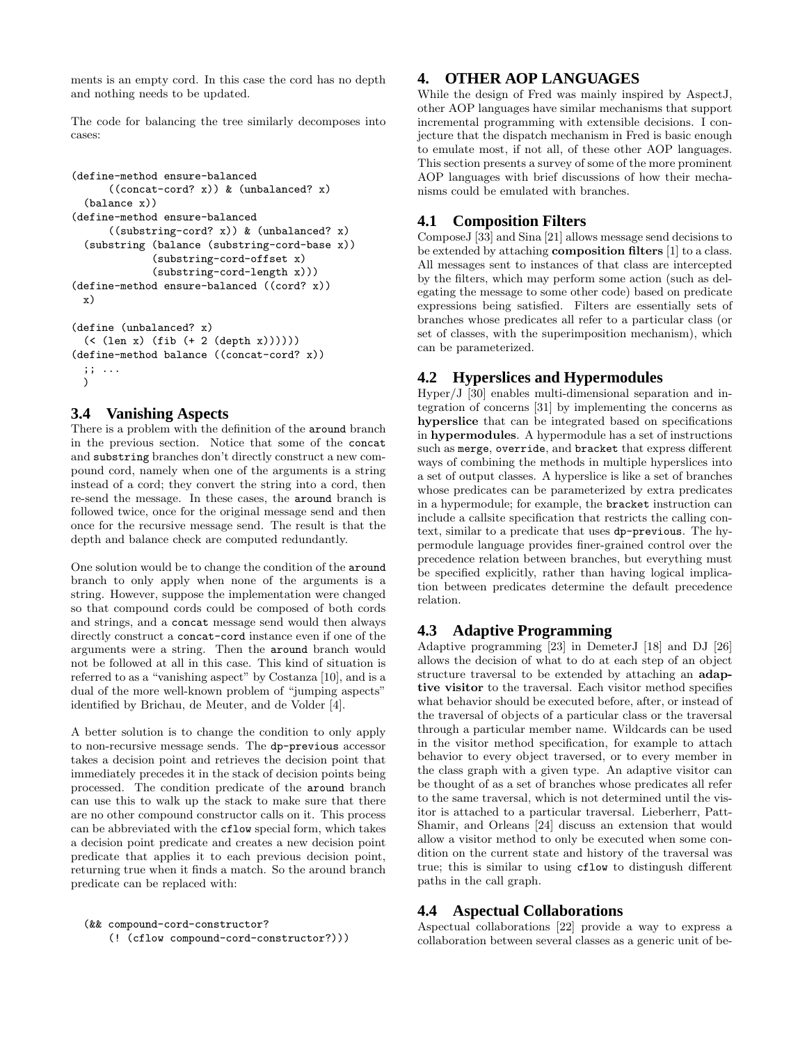ments is an empty cord. In this case the cord has no depth and nothing needs to be updated.

The code for balancing the tree similarly decomposes into cases:

```
(define-method ensure-balanced
     ((concat-cord? x)) & (unbalanced? x)
 (balance x))
(define-method ensure-balanced
      ((substring-cord? x)) & (unbalanced? x)
 (substring (balance (substring-cord-base x))
             (substring-cord-offset x)
             (substring-cord-length x)))
(define-method ensure-balanced ((cord? x))
 x)
(define (unbalanced? x)
 (< (len x) (fib (+ 2 (depth x)))))(define-method balance ((concat-cord? x))
```
#### ;; ... )

#### **3.4 Vanishing Aspects**

There is a problem with the definition of the around branch in the previous section. Notice that some of the concat and substring branches don't directly construct a new compound cord, namely when one of the arguments is a string instead of a cord; they convert the string into a cord, then re-send the message. In these cases, the around branch is followed twice, once for the original message send and then once for the recursive message send. The result is that the depth and balance check are computed redundantly.

One solution would be to change the condition of the around branch to only apply when none of the arguments is a string. However, suppose the implementation were changed so that compound cords could be composed of both cords and strings, and a concat message send would then always directly construct a concat-cord instance even if one of the arguments were a string. Then the around branch would not be followed at all in this case. This kind of situation is referred to as a "vanishing aspect" by Costanza [10], and is a dual of the more well-known problem of "jumping aspects" identified by Brichau, de Meuter, and de Volder [4].

A better solution is to change the condition to only apply to non-recursive message sends. The dp-previous accessor takes a decision point and retrieves the decision point that immediately precedes it in the stack of decision points being processed. The condition predicate of the around branch can use this to walk up the stack to make sure that there are no other compound constructor calls on it. This process can be abbreviated with the cflow special form, which takes a decision point predicate and creates a new decision point predicate that applies it to each previous decision point, returning true when it finds a match. So the around branch predicate can be replaced with:

```
(&& compound-cord-constructor?
```

```
(! (cflow compound-cord-constructor?)))
```
## **4. OTHER AOP LANGUAGES**

While the design of Fred was mainly inspired by AspectJ, other AOP languages have similar mechanisms that support incremental programming with extensible decisions. I conjecture that the dispatch mechanism in Fred is basic enough to emulate most, if not all, of these other AOP languages. This section presents a survey of some of the more prominent AOP languages with brief discussions of how their mechanisms could be emulated with branches.

## **4.1 Composition Filters**

ComposeJ [33] and Sina [21] allows message send decisions to be extended by attaching composition filters [1] to a class. All messages sent to instances of that class are intercepted by the filters, which may perform some action (such as delegating the message to some other code) based on predicate expressions being satisfied. Filters are essentially sets of branches whose predicates all refer to a particular class (or set of classes, with the superimposition mechanism), which can be parameterized.

## **4.2 Hyperslices and Hypermodules**

 $Hyper/J$  [30] enables multi-dimensional separation and integration of concerns [31] by implementing the concerns as hyperslice that can be integrated based on specifications in hypermodules. A hypermodule has a set of instructions such as merge, override, and bracket that express different ways of combining the methods in multiple hyperslices into a set of output classes. A hyperslice is like a set of branches whose predicates can be parameterized by extra predicates in a hypermodule; for example, the bracket instruction can include a callsite specification that restricts the calling context, similar to a predicate that uses dp-previous. The hypermodule language provides finer-grained control over the precedence relation between branches, but everything must be specified explicitly, rather than having logical implication between predicates determine the default precedence relation.

## **4.3 Adaptive Programming**

Adaptive programming [23] in DemeterJ [18] and DJ [26] allows the decision of what to do at each step of an object structure traversal to be extended by attaching an adaptive visitor to the traversal. Each visitor method specifies what behavior should be executed before, after, or instead of the traversal of objects of a particular class or the traversal through a particular member name. Wildcards can be used in the visitor method specification, for example to attach behavior to every object traversed, or to every member in the class graph with a given type. An adaptive visitor can be thought of as a set of branches whose predicates all refer to the same traversal, which is not determined until the visitor is attached to a particular traversal. Lieberherr, Patt-Shamir, and Orleans [24] discuss an extension that would allow a visitor method to only be executed when some condition on the current state and history of the traversal was true; this is similar to using cflow to distingush different paths in the call graph.

## **4.4 Aspectual Collaborations**

Aspectual collaborations [22] provide a way to express a collaboration between several classes as a generic unit of be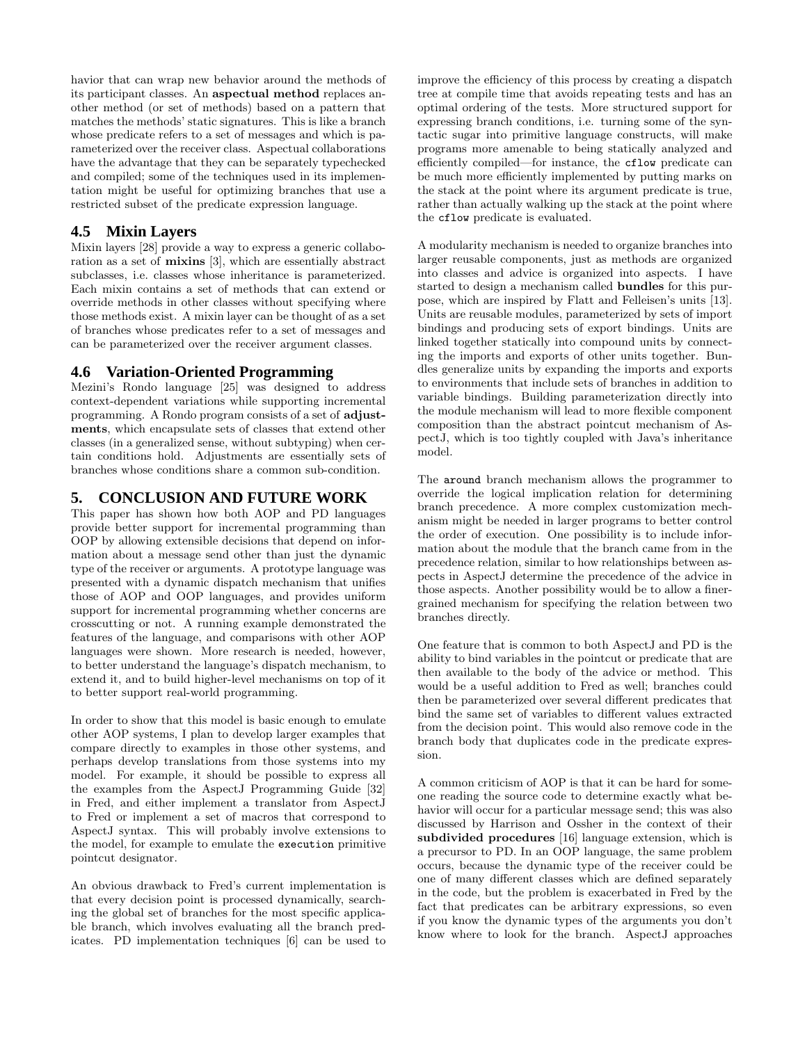havior that can wrap new behavior around the methods of its participant classes. An aspectual method replaces another method (or set of methods) based on a pattern that matches the methods' static signatures. This is like a branch whose predicate refers to a set of messages and which is parameterized over the receiver class. Aspectual collaborations have the advantage that they can be separately typechecked and compiled; some of the techniques used in its implementation might be useful for optimizing branches that use a restricted subset of the predicate expression language.

#### **4.5 Mixin Layers**

Mixin layers [28] provide a way to express a generic collaboration as a set of mixins [3], which are essentially abstract subclasses, i.e. classes whose inheritance is parameterized. Each mixin contains a set of methods that can extend or override methods in other classes without specifying where those methods exist. A mixin layer can be thought of as a set of branches whose predicates refer to a set of messages and can be parameterized over the receiver argument classes.

### **4.6 Variation-Oriented Programming**

Mezini's Rondo language [25] was designed to address context-dependent variations while supporting incremental programming. A Rondo program consists of a set of adjustments, which encapsulate sets of classes that extend other classes (in a generalized sense, without subtyping) when certain conditions hold. Adjustments are essentially sets of branches whose conditions share a common sub-condition.

## **5. CONCLUSION AND FUTURE WORK**

This paper has shown how both AOP and PD languages provide better support for incremental programming than OOP by allowing extensible decisions that depend on information about a message send other than just the dynamic type of the receiver or arguments. A prototype language was presented with a dynamic dispatch mechanism that unifies those of AOP and OOP languages, and provides uniform support for incremental programming whether concerns are crosscutting or not. A running example demonstrated the features of the language, and comparisons with other AOP languages were shown. More research is needed, however, to better understand the language's dispatch mechanism, to extend it, and to build higher-level mechanisms on top of it to better support real-world programming.

In order to show that this model is basic enough to emulate other AOP systems, I plan to develop larger examples that compare directly to examples in those other systems, and perhaps develop translations from those systems into my model. For example, it should be possible to express all the examples from the AspectJ Programming Guide [32] in Fred, and either implement a translator from AspectJ to Fred or implement a set of macros that correspond to AspectJ syntax. This will probably involve extensions to the model, for example to emulate the execution primitive pointcut designator.

An obvious drawback to Fred's current implementation is that every decision point is processed dynamically, searching the global set of branches for the most specific applicable branch, which involves evaluating all the branch predicates. PD implementation techniques [6] can be used to improve the efficiency of this process by creating a dispatch tree at compile time that avoids repeating tests and has an optimal ordering of the tests. More structured support for expressing branch conditions, i.e. turning some of the syntactic sugar into primitive language constructs, will make programs more amenable to being statically analyzed and efficiently compiled—for instance, the cflow predicate can be much more efficiently implemented by putting marks on the stack at the point where its argument predicate is true, rather than actually walking up the stack at the point where the cflow predicate is evaluated.

A modularity mechanism is needed to organize branches into larger reusable components, just as methods are organized into classes and advice is organized into aspects. I have started to design a mechanism called bundles for this purpose, which are inspired by Flatt and Felleisen's units [13]. Units are reusable modules, parameterized by sets of import bindings and producing sets of export bindings. Units are linked together statically into compound units by connecting the imports and exports of other units together. Bundles generalize units by expanding the imports and exports to environments that include sets of branches in addition to variable bindings. Building parameterization directly into the module mechanism will lead to more flexible component composition than the abstract pointcut mechanism of AspectJ, which is too tightly coupled with Java's inheritance model.

The around branch mechanism allows the programmer to override the logical implication relation for determining branch precedence. A more complex customization mechanism might be needed in larger programs to better control the order of execution. One possibility is to include information about the module that the branch came from in the precedence relation, similar to how relationships between aspects in AspectJ determine the precedence of the advice in those aspects. Another possibility would be to allow a finergrained mechanism for specifying the relation between two branches directly.

One feature that is common to both AspectJ and PD is the ability to bind variables in the pointcut or predicate that are then available to the body of the advice or method. This would be a useful addition to Fred as well; branches could then be parameterized over several different predicates that bind the same set of variables to different values extracted from the decision point. This would also remove code in the branch body that duplicates code in the predicate expression.

A common criticism of AOP is that it can be hard for someone reading the source code to determine exactly what behavior will occur for a particular message send; this was also discussed by Harrison and Ossher in the context of their subdivided procedures [16] language extension, which is a precursor to PD. In an OOP language, the same problem occurs, because the dynamic type of the receiver could be one of many different classes which are defined separately in the code, but the problem is exacerbated in Fred by the fact that predicates can be arbitrary expressions, so even if you know the dynamic types of the arguments you don't know where to look for the branch. AspectJ approaches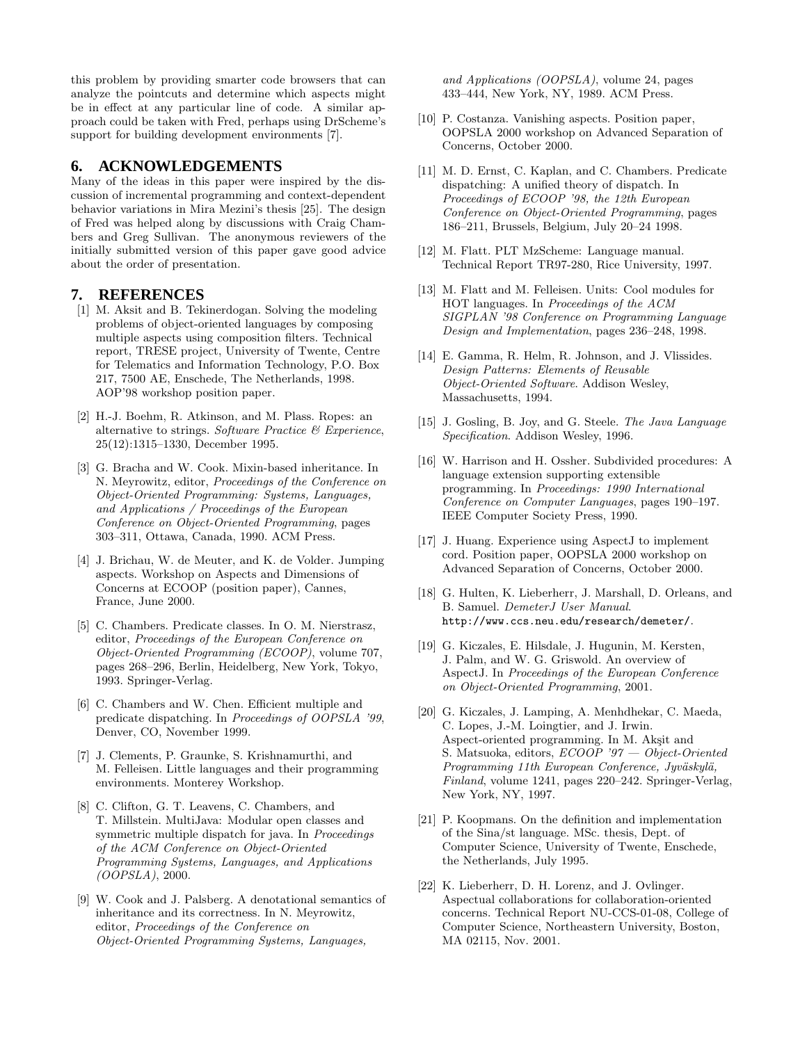this problem by providing smarter code browsers that can analyze the pointcuts and determine which aspects might be in effect at any particular line of code. A similar approach could be taken with Fred, perhaps using DrScheme's support for building development environments [7].

#### **6. ACKNOWLEDGEMENTS**

Many of the ideas in this paper were inspired by the discussion of incremental programming and context-dependent behavior variations in Mira Mezini's thesis [25]. The design of Fred was helped along by discussions with Craig Chambers and Greg Sullivan. The anonymous reviewers of the initially submitted version of this paper gave good advice about the order of presentation.

#### **7. REFERENCES**

- [1] M. Aksit and B. Tekinerdogan. Solving the modeling problems of object-oriented languages by composing multiple aspects using composition filters. Technical report, TRESE project, University of Twente, Centre for Telematics and Information Technology, P.O. Box 217, 7500 AE, Enschede, The Netherlands, 1998. AOP'98 workshop position paper.
- [2] H.-J. Boehm, R. Atkinson, and M. Plass. Ropes: an alternative to strings. Software Practice  $\mathcal C$  Experience, 25(12):1315–1330, December 1995.
- [3] G. Bracha and W. Cook. Mixin-based inheritance. In N. Meyrowitz, editor, Proceedings of the Conference on Object-Oriented Programming: Systems, Languages, and Applications / Proceedings of the European Conference on Object-Oriented Programming, pages 303–311, Ottawa, Canada, 1990. ACM Press.
- [4] J. Brichau, W. de Meuter, and K. de Volder. Jumping aspects. Workshop on Aspects and Dimensions of Concerns at ECOOP (position paper), Cannes, France, June 2000.
- [5] C. Chambers. Predicate classes. In O. M. Nierstrasz, editor, Proceedings of the European Conference on Object-Oriented Programming (ECOOP), volume 707, pages 268–296, Berlin, Heidelberg, New York, Tokyo, 1993. Springer-Verlag.
- [6] C. Chambers and W. Chen. Efficient multiple and predicate dispatching. In Proceedings of OOPSLA '99, Denver, CO, November 1999.
- [7] J. Clements, P. Graunke, S. Krishnamurthi, and M. Felleisen. Little languages and their programming environments. Monterey Workshop.
- [8] C. Clifton, G. T. Leavens, C. Chambers, and T. Millstein. MultiJava: Modular open classes and symmetric multiple dispatch for java. In *Proceedings* of the ACM Conference on Object-Oriented Programming Systems, Languages, and Applications (OOPSLA), 2000.
- [9] W. Cook and J. Palsberg. A denotational semantics of inheritance and its correctness. In N. Meyrowitz, editor, Proceedings of the Conference on Object-Oriented Programming Systems, Languages,

and Applications (OOPSLA), volume 24, pages 433–444, New York, NY, 1989. ACM Press.

- [10] P. Costanza. Vanishing aspects. Position paper, OOPSLA 2000 workshop on Advanced Separation of Concerns, October 2000.
- [11] M. D. Ernst, C. Kaplan, and C. Chambers. Predicate dispatching: A unified theory of dispatch. In Proceedings of ECOOP '98, the 12th European Conference on Object-Oriented Programming, pages 186–211, Brussels, Belgium, July 20–24 1998.
- [12] M. Flatt. PLT MzScheme: Language manual. Technical Report TR97-280, Rice University, 1997.
- [13] M. Flatt and M. Felleisen. Units: Cool modules for HOT languages. In Proceedings of the ACM SIGPLAN '98 Conference on Programming Language Design and Implementation, pages 236–248, 1998.
- [14] E. Gamma, R. Helm, R. Johnson, and J. Vlissides. Design Patterns: Elements of Reusable Object-Oriented Software. Addison Wesley, Massachusetts, 1994.
- [15] J. Gosling, B. Joy, and G. Steele. The Java Language Specification. Addison Wesley, 1996.
- [16] W. Harrison and H. Ossher. Subdivided procedures: A language extension supporting extensible programming. In Proceedings: 1990 International Conference on Computer Languages, pages 190–197. IEEE Computer Society Press, 1990.
- [17] J. Huang. Experience using AspectJ to implement cord. Position paper, OOPSLA 2000 workshop on Advanced Separation of Concerns, October 2000.
- [18] G. Hulten, K. Lieberherr, J. Marshall, D. Orleans, and B. Samuel. DemeterJ User Manual. http://www.ccs.neu.edu/research/demeter/.
- [19] G. Kiczales, E. Hilsdale, J. Hugunin, M. Kersten, J. Palm, and W. G. Griswold. An overview of AspectJ. In Proceedings of the European Conference on Object-Oriented Programming, 2001.
- [20] G. Kiczales, J. Lamping, A. Menhdhekar, C. Maeda, C. Lopes, J.-M. Loingtier, and J. Irwin. Aspect-oriented programming. In M. Akşit and S. Matsuoka, editors, ECOOP '97 — Object-Oriented Programming 11th European Conference, Jyväskylä, Finland, volume 1241, pages 220–242. Springer-Verlag, New York, NY, 1997.
- [21] P. Koopmans. On the definition and implementation of the Sina/st language. MSc. thesis, Dept. of Computer Science, University of Twente, Enschede, the Netherlands, July 1995.
- [22] K. Lieberherr, D. H. Lorenz, and J. Ovlinger. Aspectual collaborations for collaboration-oriented concerns. Technical Report NU-CCS-01-08, College of Computer Science, Northeastern University, Boston, MA 02115, Nov. 2001.